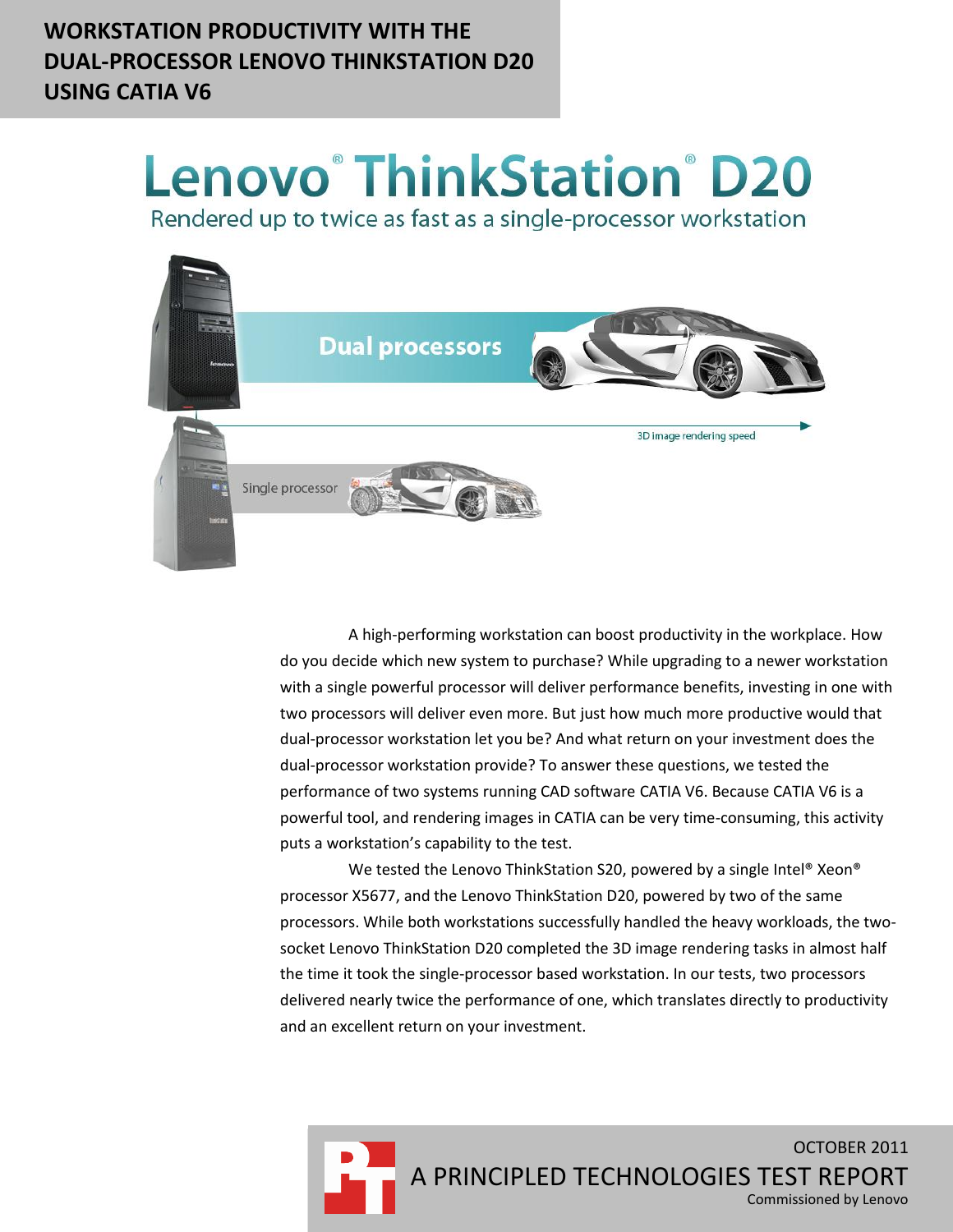# **WORKSTATION PRODUCTIVITY WITH THE DUAL-PROCESSOR LENOVO THINKSTATION D20 USING CATIA V6**

# **Lenovo® ThinkStation® D20**

Rendered up to twice as fast as a single-processor workstation



A high-performing workstation can boost productivity in the workplace. How do you decide which new system to purchase? While upgrading to a newer workstation with a single powerful processor will deliver performance benefits, investing in one with two processors will deliver even more. But just how much more productive would that dual-processor workstation let you be? And what return on your investment does the dual-processor workstation provide? To answer these questions, we tested the performance of two systems running CAD software CATIA V6. Because CATIA V6 is a powerful tool, and rendering images in CATIA can be very time-consuming, this activity puts a workstation's capability to the test.

We tested the Lenovo ThinkStation S20, powered by a single Intel® Xeon® processor X5677, and the Lenovo ThinkStation D20, powered by two of the same processors. While both workstations successfully handled the heavy workloads, the twosocket Lenovo ThinkStation D20 completed the 3D image rendering tasks in almost half the time it took the single-processor based workstation. In our tests, two processors delivered nearly twice the performance of one, which translates directly to productivity and an excellent return on your investment.

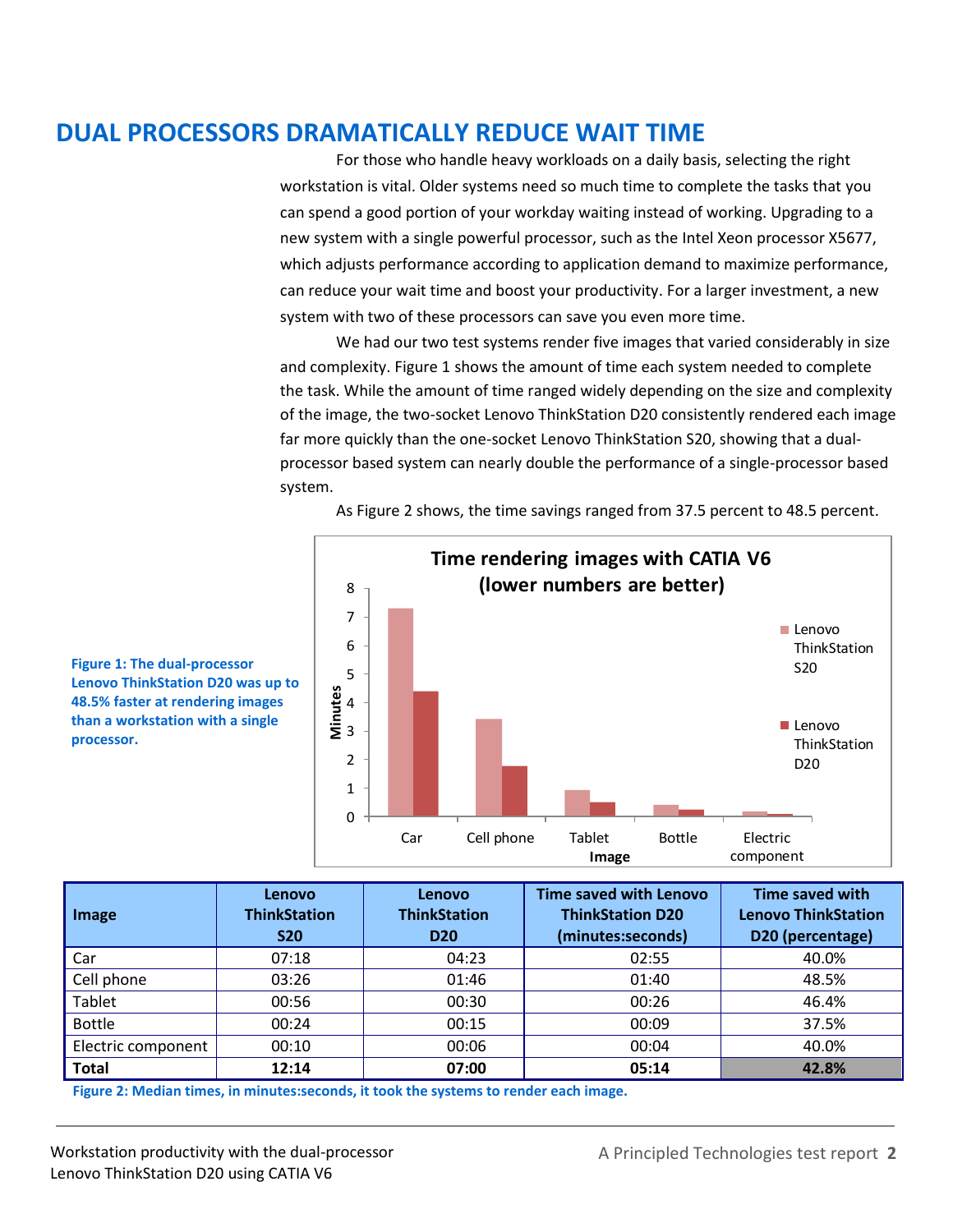# **DUAL PROCESSORS DRAMATICALLY REDUCE WAIT TIME**

For those who handle heavy workloads on a daily basis, selecting the right workstation is vital. Older systems need so much time to complete the tasks that you can spend a good portion of your workday waiting instead of working. Upgrading to a new system with a single powerful processor, such as the Intel Xeon processor X5677, which adjusts performance according to application demand to maximize performance, can reduce your wait time and boost your productivity. For a larger investment, a new system with two of these processors can save you even more time.

We had our two test systems render five images that varied considerably in size and complexity. Figure 1 shows the amount of time each system needed to complete the task. While the amount of time ranged widely depending on the size and complexity of the image, the two-socket Lenovo ThinkStation D20 consistently rendered each image far more quickly than the one-socket Lenovo ThinkStation S20, showing that a dualprocessor based system can nearly double the performance of a single-processor based system.



As Figure 2 shows, the time savings ranged from 37.5 percent to 48.5 percent.

**Figure 1: The dual-processor Lenovo ThinkStation D20 was up to 48.5% faster at rendering images than a workstation with a single processor.**

| Image              | Lenovo<br><b>ThinkStation</b><br><b>S20</b> | Lenovo<br><b>ThinkStation</b><br><b>D20</b> | <b>Time saved with Lenovo</b><br><b>ThinkStation D20</b><br>(minutes:seconds) | Time saved with<br><b>Lenovo ThinkStation</b><br>D20 (percentage) |
|--------------------|---------------------------------------------|---------------------------------------------|-------------------------------------------------------------------------------|-------------------------------------------------------------------|
| Car                | 07:18                                       | 04:23                                       | 02:55                                                                         | 40.0%                                                             |
| Cell phone         | 03:26                                       | 01:46                                       | 01:40                                                                         | 48.5%                                                             |
| Tablet             | 00:56                                       | 00:30                                       | 00:26                                                                         | 46.4%                                                             |
| <b>Bottle</b>      | 00:24                                       | 00:15                                       | 00:09                                                                         | 37.5%                                                             |
| Electric component | 00:10                                       | 00:06                                       | 00:04                                                                         | 40.0%                                                             |
| <b>Total</b>       | 12:14                                       | 07:00                                       | 05:14                                                                         | 42.8%                                                             |

**Figure 2: Median times, in minutes:seconds, it took the systems to render each image.**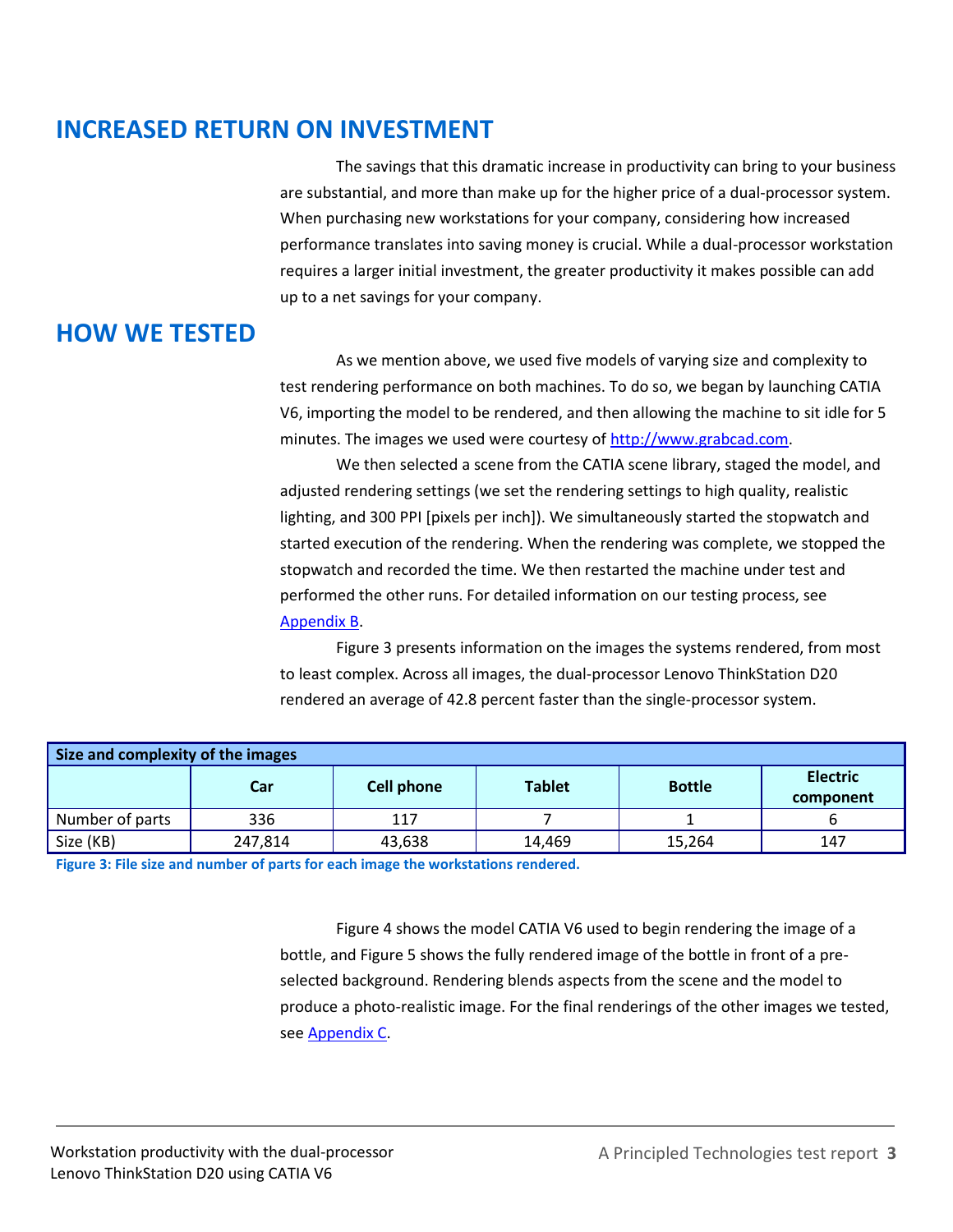# **INCREASED RETURN ON INVESTMENT**

The savings that this dramatic increase in productivity can bring to your business are substantial, and more than make up for the higher price of a dual-processor system. When purchasing new workstations for your company, considering how increased performance translates into saving money is crucial. While a dual-processor workstation requires a larger initial investment, the greater productivity it makes possible can add up to a net savings for your company.

# **HOW WE TESTED**

As we mention above, we used five models of varying size and complexity to test rendering performance on both machines. To do so, we began by launching CATIA V6, importing the model to be rendered, and then allowing the machine to sit idle for 5 minutes. The images we used were courtesy of [http://www.grabcad.com.](http://www.grabcad.com/)

We then selected a scene from the CATIA scene library, staged the model, and adjusted rendering settings (we set the rendering settings to high quality, realistic lighting, and 300 PPI [pixels per inch]). We simultaneously started the stopwatch and started execution of the rendering. When the rendering was complete, we stopped the stopwatch and recorded the time. We then restarted the machine under test and performed the other runs. For detailed information on our testing process, see [Appendix B.](#page-6-0)

Figure 3 presents information on the images the systems rendered, from most to least complex. Across all images, the dual-processor Lenovo ThinkStation D20 rendered an average of 42.8 percent faster than the single-processor system.

| Size and complexity of the images |         |            |               |               |                              |  |  |
|-----------------------------------|---------|------------|---------------|---------------|------------------------------|--|--|
|                                   | Car     | Cell phone | <b>Tablet</b> | <b>Bottle</b> | <b>Electric</b><br>component |  |  |
| Number of parts                   | 336     | 117        |               |               |                              |  |  |
| Size (KB)                         | 247,814 | 43,638     | 14.469        | 15,264        | 147                          |  |  |

**Figure 3: File size and number of parts for each image the workstations rendered.**

Figure 4 shows the model CATIA V6 used to begin rendering the image of a bottle, and Figure 5 shows the fully rendered image of the bottle in front of a preselected background. Rendering blends aspects from the scene and the model to produce a photo-realistic image. For the final renderings of the other images we tested, se[e Appendix C.](#page-10-0)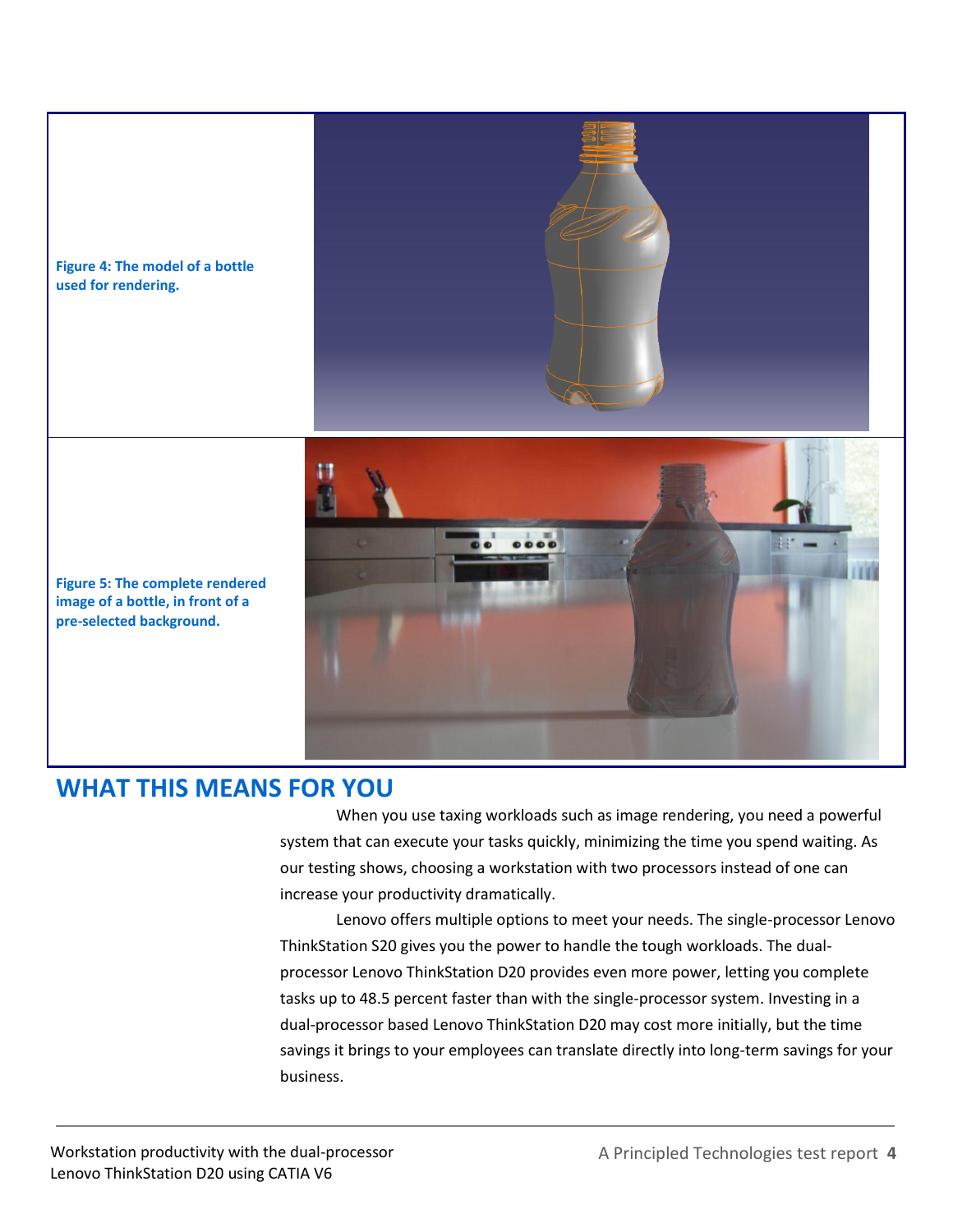

## **WHAT THIS MEANS FOR YOU**

When you use taxing workloads such as image rendering, you need a powerful system that can execute your tasks quickly, minimizing the time you spend waiting. As our testing shows, choosing a workstation with two processors instead of one can increase your productivity dramatically.

Lenovo offers multiple options to meet your needs. The single-processor Lenovo ThinkStation S20 gives you the power to handle the tough workloads. The dualprocessor Lenovo ThinkStation D20 provides even more power, letting you complete tasks up to 48.5 percent faster than with the single-processor system. Investing in a dual-processor based Lenovo ThinkStation D20 may cost more initially, but the time savings it brings to your employees can translate directly into long-term savings for your business.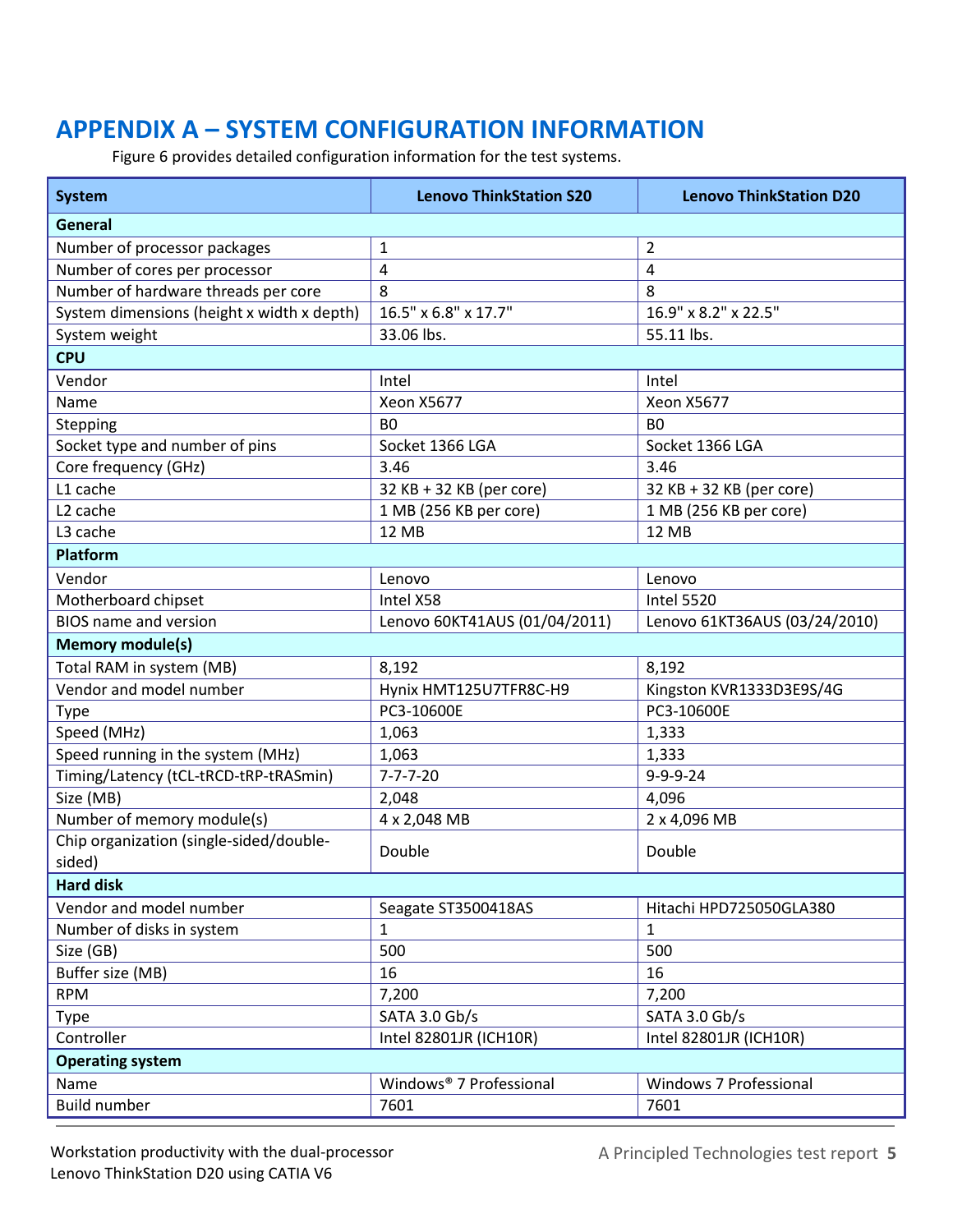# **APPENDIX A – SYSTEM CONFIGURATION INFORMATION**

Figure 6 provides detailed configuration information for the test systems.

| <b>System</b>                              | <b>Lenovo ThinkStation S20</b> | <b>Lenovo ThinkStation D20</b> |  |  |  |
|--------------------------------------------|--------------------------------|--------------------------------|--|--|--|
| General                                    |                                |                                |  |  |  |
| Number of processor packages               | $\mathbf{1}$                   | $\overline{2}$                 |  |  |  |
| Number of cores per processor              | 4                              | 4                              |  |  |  |
| Number of hardware threads per core        | 8                              | 8                              |  |  |  |
| System dimensions (height x width x depth) | 16.5" x 6.8" x 17.7"           | 16.9" x 8.2" x 22.5"           |  |  |  |
| System weight                              | 33.06 lbs.                     | 55.11 lbs.                     |  |  |  |
| <b>CPU</b>                                 |                                |                                |  |  |  |
| Vendor                                     | Intel                          | Intel                          |  |  |  |
| Name                                       | <b>Xeon X5677</b>              | <b>Xeon X5677</b>              |  |  |  |
| Stepping                                   | B <sub>0</sub>                 | B <sub>0</sub>                 |  |  |  |
| Socket type and number of pins             | Socket 1366 LGA                | Socket 1366 LGA                |  |  |  |
| Core frequency (GHz)                       | 3.46                           | 3.46                           |  |  |  |
| L1 cache                                   | 32 KB + 32 KB (per core)       | 32 KB + 32 KB (per core)       |  |  |  |
| L <sub>2</sub> cache                       | 1 MB (256 KB per core)         | 1 MB (256 KB per core)         |  |  |  |
| L3 cache                                   | <b>12 MB</b>                   | 12 MB                          |  |  |  |
| Platform                                   |                                |                                |  |  |  |
| Vendor                                     | Lenovo                         | Lenovo                         |  |  |  |
| Motherboard chipset                        | Intel X58                      | <b>Intel 5520</b>              |  |  |  |
| <b>BIOS</b> name and version               | Lenovo 60KT41AUS (01/04/2011)  | Lenovo 61KT36AUS (03/24/2010)  |  |  |  |
| <b>Memory module(s)</b>                    |                                |                                |  |  |  |
| Total RAM in system (MB)                   | 8,192                          | 8,192                          |  |  |  |
| Vendor and model number                    | Hynix HMT125U7TFR8C-H9         | Kingston KVR1333D3E9S/4G       |  |  |  |
| <b>Type</b>                                | PC3-10600E                     | PC3-10600E                     |  |  |  |
| Speed (MHz)                                | 1,063                          | 1,333                          |  |  |  |
| Speed running in the system (MHz)          | 1,063                          | 1,333                          |  |  |  |
| Timing/Latency (tCL-tRCD-tRP-tRASmin)      | $7 - 7 - 7 - 20$               | $9 - 9 - 9 - 24$               |  |  |  |
| Size (MB)                                  | 2,048                          | 4,096                          |  |  |  |
| Number of memory module(s)                 | 4 x 2,048 MB                   | 2 x 4,096 MB                   |  |  |  |
| Chip organization (single-sided/double-    | Double                         | Double                         |  |  |  |
| sided)                                     |                                |                                |  |  |  |
| <b>Hard disk</b>                           |                                |                                |  |  |  |
| Vendor and model number                    | Seagate ST3500418AS            | Hitachi HPD725050GLA380        |  |  |  |
| Number of disks in system                  | $\mathbf{1}$                   | $\mathbf{1}$                   |  |  |  |
| Size (GB)                                  | 500                            | 500                            |  |  |  |
| Buffer size (MB)                           | 16                             | 16                             |  |  |  |
| <b>RPM</b>                                 | 7,200                          | 7,200                          |  |  |  |
| <b>Type</b>                                | SATA 3.0 Gb/s                  | SATA 3.0 Gb/s                  |  |  |  |
| Controller                                 | Intel 82801JR (ICH10R)         | Intel 82801JR (ICH10R)         |  |  |  |
| <b>Operating system</b>                    |                                |                                |  |  |  |
| Name                                       | Windows® 7 Professional        | Windows 7 Professional         |  |  |  |
| Build number                               | 7601                           | 7601                           |  |  |  |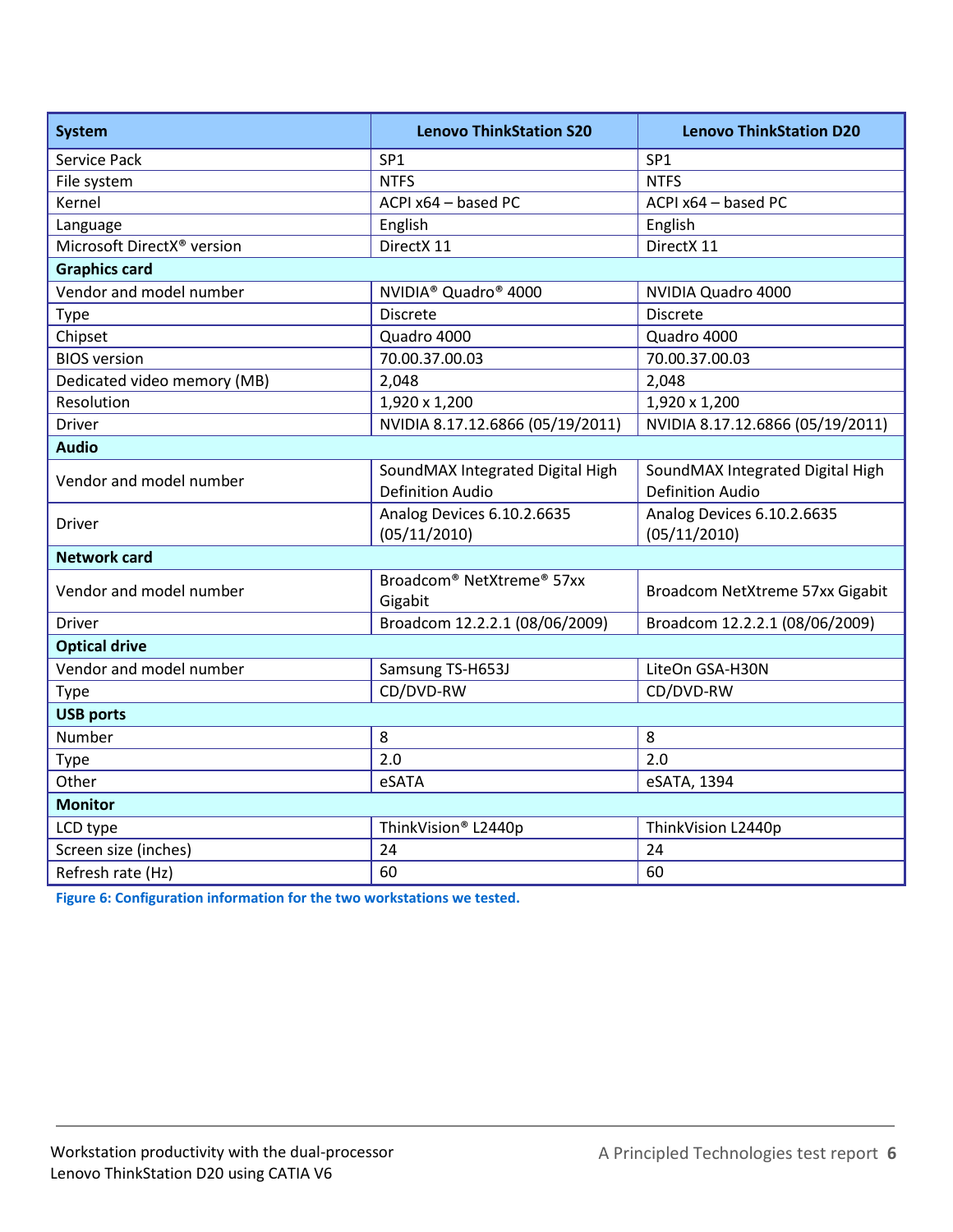| <b>System</b>                          | <b>Lenovo ThinkStation S20</b>                              | <b>Lenovo ThinkStation D20</b>                              |  |  |  |
|----------------------------------------|-------------------------------------------------------------|-------------------------------------------------------------|--|--|--|
| Service Pack                           | SP <sub>1</sub>                                             | SP <sub>1</sub>                                             |  |  |  |
| File system                            | <b>NTFS</b>                                                 | <b>NTFS</b>                                                 |  |  |  |
| Kernel                                 | ACPI x64 - based PC                                         | ACPI x64 - based PC                                         |  |  |  |
| Language                               | English                                                     | English                                                     |  |  |  |
| Microsoft DirectX <sup>®</sup> version | DirectX 11                                                  | DirectX 11                                                  |  |  |  |
| <b>Graphics card</b>                   |                                                             |                                                             |  |  |  |
| Vendor and model number                | NVIDIA <sup>®</sup> Quadro <sup>®</sup> 4000                | NVIDIA Quadro 4000                                          |  |  |  |
| <b>Type</b>                            | <b>Discrete</b>                                             | <b>Discrete</b>                                             |  |  |  |
| Chipset                                | Quadro 4000                                                 | Quadro 4000                                                 |  |  |  |
| <b>BIOS</b> version                    | 70.00.37.00.03                                              | 70.00.37.00.03                                              |  |  |  |
| Dedicated video memory (MB)            | 2,048                                                       | 2,048                                                       |  |  |  |
| Resolution                             | 1,920 x 1,200                                               | 1,920 x 1,200                                               |  |  |  |
| <b>Driver</b>                          | NVIDIA 8.17.12.6866 (05/19/2011)                            | NVIDIA 8.17.12.6866 (05/19/2011)                            |  |  |  |
| <b>Audio</b>                           |                                                             |                                                             |  |  |  |
| Vendor and model number                | SoundMAX Integrated Digital High<br><b>Definition Audio</b> | SoundMAX Integrated Digital High<br><b>Definition Audio</b> |  |  |  |
| <b>Driver</b>                          | Analog Devices 6.10.2.6635<br>(05/11/2010)                  | Analog Devices 6.10.2.6635<br>(05/11/2010)                  |  |  |  |
| <b>Network card</b>                    |                                                             |                                                             |  |  |  |
| Vendor and model number                | Broadcom <sup>®</sup> NetXtreme® 57xx<br>Gigabit            | Broadcom NetXtreme 57xx Gigabit                             |  |  |  |
| <b>Driver</b>                          | Broadcom 12.2.2.1 (08/06/2009)                              | Broadcom 12.2.2.1 (08/06/2009)                              |  |  |  |
| <b>Optical drive</b>                   |                                                             |                                                             |  |  |  |
| Vendor and model number                | Samsung TS-H653J                                            | LiteOn GSA-H30N                                             |  |  |  |
| Type                                   | CD/DVD-RW                                                   | CD/DVD-RW                                                   |  |  |  |
| <b>USB ports</b>                       |                                                             |                                                             |  |  |  |
| Number                                 | 8                                                           | 8                                                           |  |  |  |
| Type                                   | 2.0                                                         | 2.0                                                         |  |  |  |
| Other                                  | eSATA                                                       | eSATA, 1394                                                 |  |  |  |
| <b>Monitor</b>                         |                                                             |                                                             |  |  |  |
| LCD type                               | ThinkVision® L2440p                                         | ThinkVision L2440p                                          |  |  |  |
| Screen size (inches)                   | 24                                                          | 24                                                          |  |  |  |
| Refresh rate (Hz)                      | 60                                                          | 60                                                          |  |  |  |

**Figure 6: Configuration information for the two workstations we tested.**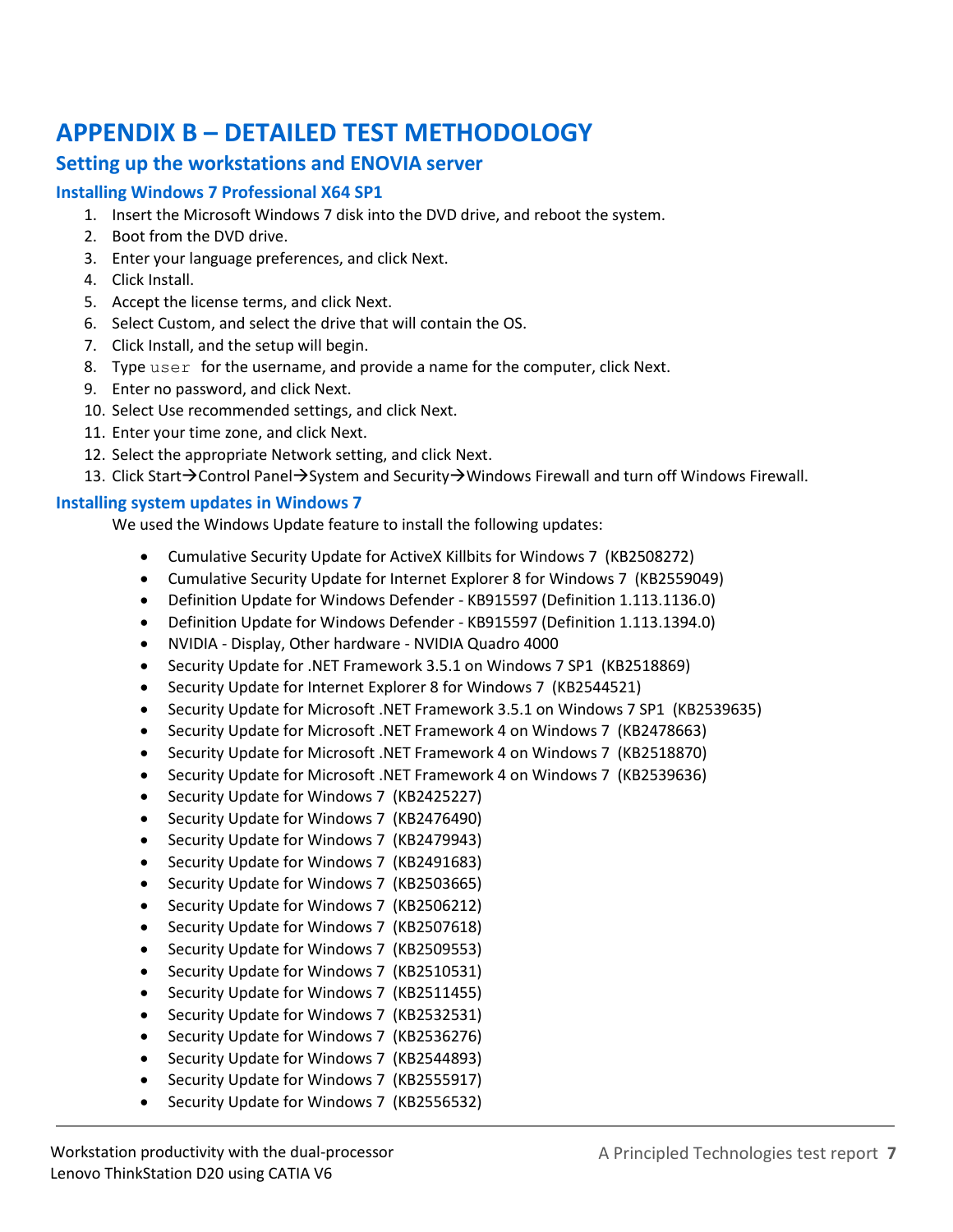# <span id="page-6-0"></span>**APPENDIX B – DETAILED TEST METHODOLOGY**

## **Setting up the workstations and ENOVIA server**

## **Installing Windows 7 Professional X64 SP1**

- 1. Insert the Microsoft Windows 7 disk into the DVD drive, and reboot the system.
- 2. Boot from the DVD drive.
- 3. Enter your language preferences, and click Next.
- 4. Click Install.
- 5. Accept the license terms, and click Next.
- 6. Select Custom, and select the drive that will contain the OS.
- 7. Click Install, and the setup will begin.
- 8. Type user for the username, and provide a name for the computer, click Next.
- 9. Enter no password, and click Next.
- 10. Select Use recommended settings, and click Next.
- 11. Enter your time zone, and click Next.
- 12. Select the appropriate Network setting, and click Next.
- 13. Click Start $\rightarrow$ Control Panel $\rightarrow$ System and Security $\rightarrow$ Windows Firewall and turn off Windows Firewall.

## **Installing system updates in Windows 7**

We used the Windows Update feature to install the following updates:

- Cumulative Security Update for ActiveX Killbits for Windows 7 (KB2508272)
- Cumulative Security Update for Internet Explorer 8 for Windows 7 (KB2559049)
- Definition Update for Windows Defender KB915597 (Definition 1.113.1136.0)
- Definition Update for Windows Defender KB915597 (Definition 1.113.1394.0)
- NVIDIA Display, Other hardware NVIDIA Quadro 4000
- Security Update for .NET Framework 3.5.1 on Windows 7 SP1 (KB2518869)
- Security Update for Internet Explorer 8 for Windows 7 (KB2544521)
- Security Update for Microsoft .NET Framework 3.5.1 on Windows 7 SP1 (KB2539635)
- Security Update for Microsoft .NET Framework 4 on Windows 7 (KB2478663)
- Security Update for Microsoft .NET Framework 4 on Windows 7 (KB2518870)
- Security Update for Microsoft .NET Framework 4 on Windows 7 (KB2539636)
- Security Update for Windows 7 (KB2425227)
- Security Update for Windows 7 (KB2476490)
- Security Update for Windows 7 (KB2479943)
- Security Update for Windows 7 (KB2491683)
- Security Update for Windows 7 (KB2503665)
- Security Update for Windows 7 (KB2506212)
- Security Update for Windows 7 (KB2507618)
- Security Update for Windows 7 (KB2509553)
- Security Update for Windows 7 (KB2510531)
- Security Update for Windows 7 (KB2511455)
- Security Update for Windows 7 (KB2532531)
- Security Update for Windows 7 (KB2536276)
- Security Update for Windows 7 (KB2544893)
- Security Update for Windows 7 (KB2555917)
- Security Update for Windows 7 (KB2556532)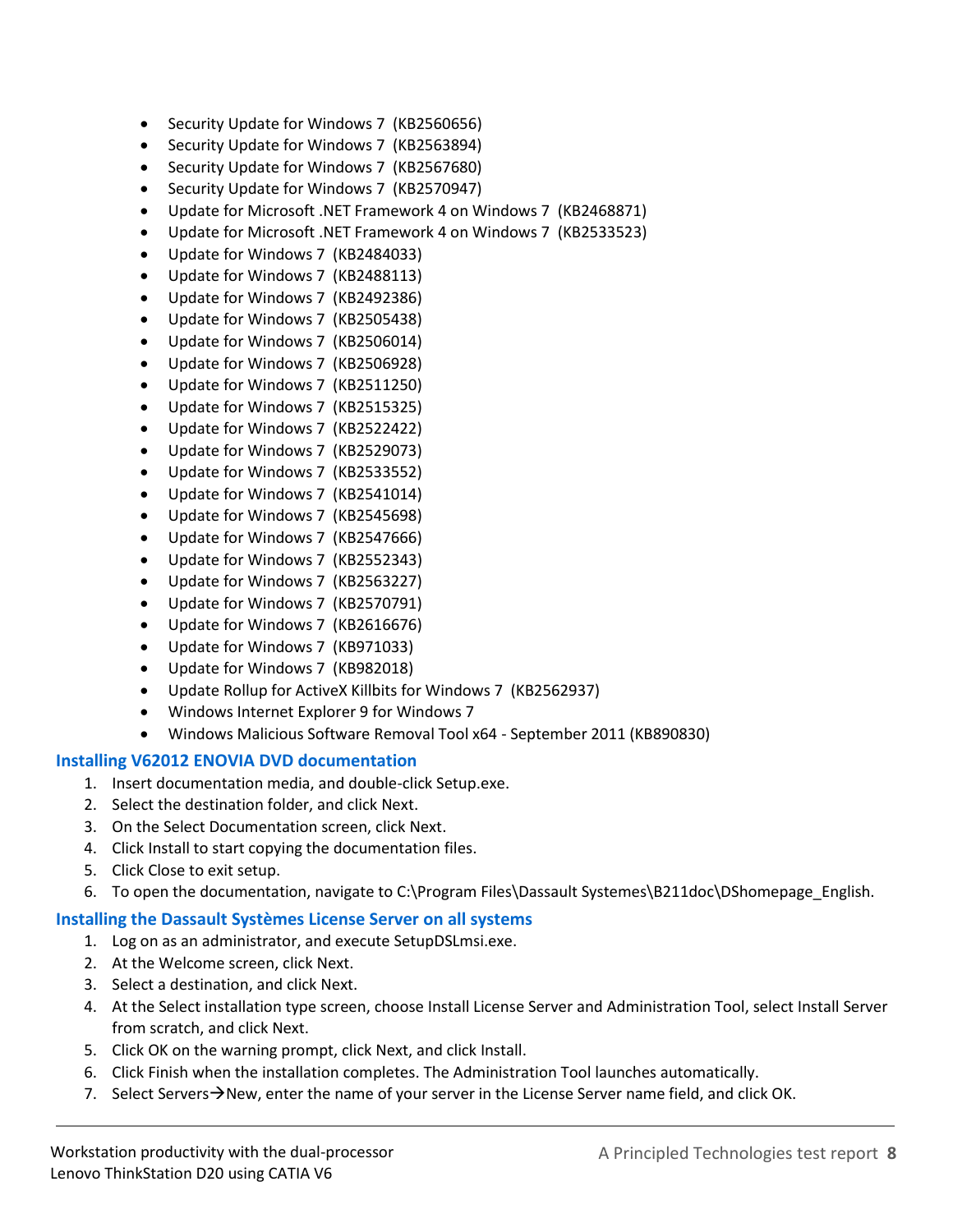- Security Update for Windows 7 (KB2560656)
- Security Update for Windows 7 (KB2563894)
- Security Update for Windows 7 (KB2567680)
- Security Update for Windows 7 (KB2570947)
- Update for Microsoft .NET Framework 4 on Windows 7 (KB2468871)
- Update for Microsoft .NET Framework 4 on Windows 7 (KB2533523)
- Update for Windows 7 (KB2484033)
- Update for Windows 7 (KB2488113)
- Update for Windows 7 (KB2492386)
- Update for Windows 7 (KB2505438)
- Update for Windows 7 (KB2506014)
- Update for Windows 7 (KB2506928)
- Update for Windows 7 (KB2511250)
- Update for Windows 7 (KB2515325)
- Update for Windows 7 (KB2522422)
- Update for Windows 7 (KB2529073)
- Update for Windows 7 (KB2533552)
- Update for Windows 7 (KB2541014)
- Update for Windows 7 (KB2545698)
- Update for Windows 7 (KB2547666)
- Update for Windows 7 (KB2552343)
- Update for Windows 7 (KB2563227)
- Update for Windows 7 (KB2570791)
- Update for Windows 7 (KB2616676)
- Update for Windows 7 (KB971033)
- Update for Windows 7 (KB982018)
- Update Rollup for ActiveX Killbits for Windows 7 (KB2562937)
- Windows Internet Explorer 9 for Windows 7
- Windows Malicious Software Removal Tool x64 September 2011 (KB890830)

#### **Installing V62012 ENOVIA DVD documentation**

- 1. Insert documentation media, and double-click Setup.exe.
- 2. Select the destination folder, and click Next.
- 3. On the Select Documentation screen, click Next.
- 4. Click Install to start copying the documentation files.
- 5. Click Close to exit setup.
- 6. To open the documentation, navigate to C:\Program Files\Dassault Systemes\B211doc\DShomepage\_English.

#### **Installing the Dassault Systèmes License Server on all systems**

- 1. Log on as an administrator, and execute SetupDSLmsi.exe.
- 2. At the Welcome screen, click Next.
- 3. Select a destination, and click Next.
- 4. At the Select installation type screen, choose Install License Server and Administration Tool, select Install Server from scratch, and click Next.
- 5. Click OK on the warning prompt, click Next, and click Install.
- 6. Click Finish when the installation completes. The Administration Tool launches automatically.
- 7. Select Servers $\rightarrow$ New, enter the name of your server in the License Server name field, and click OK.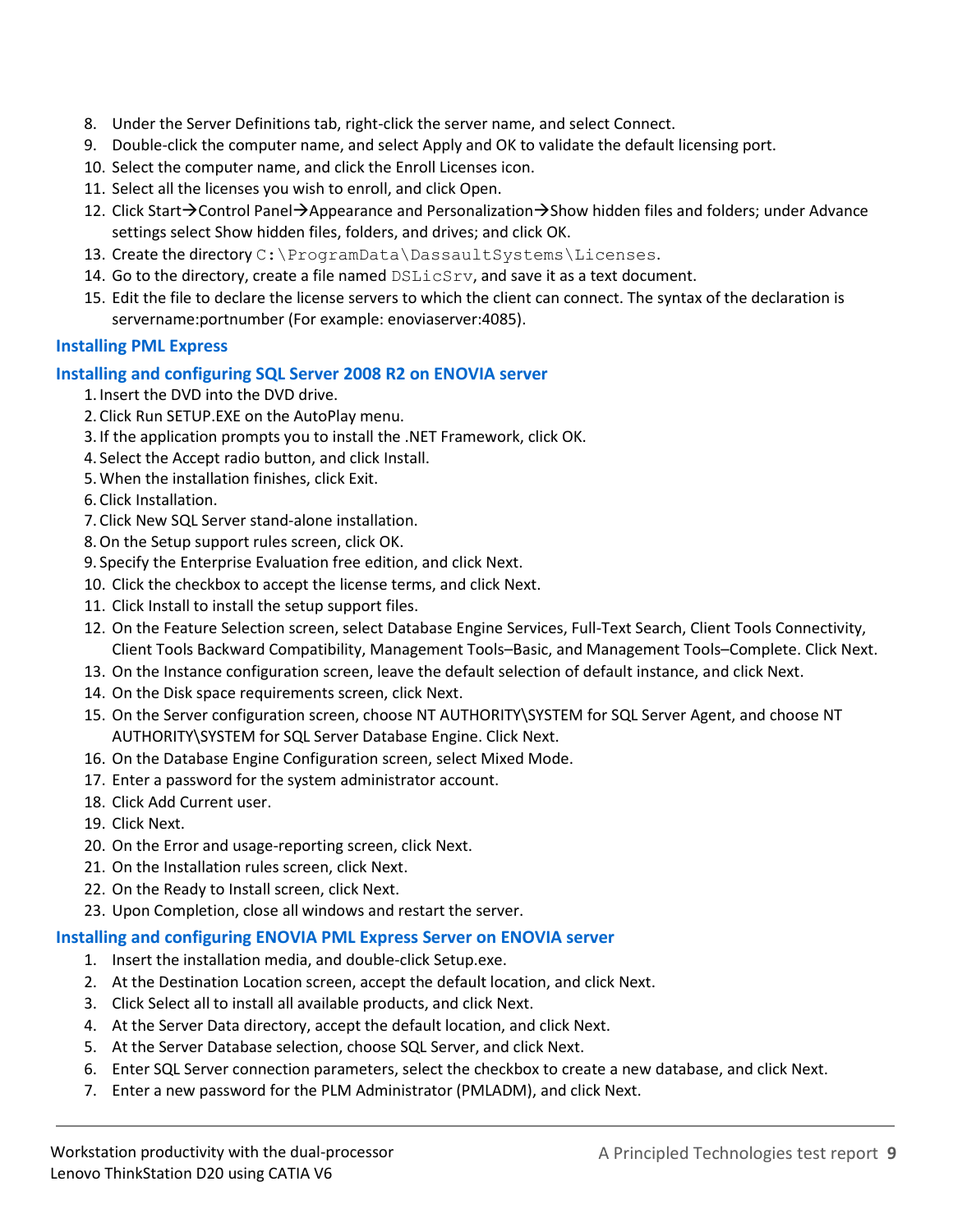- 8. Under the Server Definitions tab, right-click the server name, and select Connect.
- 9. Double-click the computer name, and select Apply and OK to validate the default licensing port.
- 10. Select the computer name, and click the Enroll Licenses icon.
- 11. Select all the licenses you wish to enroll, and click Open.
- 12. Click Start $\rightarrow$ Control Panel $\rightarrow$ Appearance and Personalization $\rightarrow$ Show hidden files and folders; under Advance settings select Show hidden files, folders, and drives; and click OK.
- 13. Create the directory C: \ProgramData\DassaultSystems\Licenses.
- 14. Go to the directory, create a file named  $\text{DSLicsrv}$ , and save it as a text document.
- 15. Edit the file to declare the license servers to which the client can connect. The syntax of the declaration is servername:portnumber (For example: enoviaserver:4085).

## **Installing PML Express**

## **Installing and configuring SQL Server 2008 R2 on ENOVIA server**

- 1. Insert the DVD into the DVD drive.
- 2. Click Run SETUP.EXE on the AutoPlay menu.
- 3. If the application prompts you to install the .NET Framework, click OK.
- 4. Select the Accept radio button, and click Install.
- 5.When the installation finishes, click Exit.
- 6. Click Installation.
- 7. Click New SQL Server stand-alone installation.
- 8.On the Setup support rules screen, click OK.
- 9. Specify the Enterprise Evaluation free edition, and click Next.
- 10. Click the checkbox to accept the license terms, and click Next.
- 11. Click Install to install the setup support files.
- 12. On the Feature Selection screen, select Database Engine Services, Full-Text Search, Client Tools Connectivity, Client Tools Backward Compatibility, Management Tools–Basic, and Management Tools–Complete. Click Next.
- 13. On the Instance configuration screen, leave the default selection of default instance, and click Next.
- 14. On the Disk space requirements screen, click Next.
- 15. On the Server configuration screen, choose NT AUTHORITY\SYSTEM for SQL Server Agent, and choose NT AUTHORITY\SYSTEM for SQL Server Database Engine. Click Next.
- 16. On the Database Engine Configuration screen, select Mixed Mode.
- 17. Enter a password for the system administrator account.
- 18. Click Add Current user.
- 19. Click Next.
- 20. On the Error and usage-reporting screen, click Next.
- 21. On the Installation rules screen, click Next.
- 22. On the Ready to Install screen, click Next.
- 23. Upon Completion, close all windows and restart the server.

#### **Installing and configuring ENOVIA PML Express Server on ENOVIA server**

- 1. Insert the installation media, and double-click Setup.exe.
- 2. At the Destination Location screen, accept the default location, and click Next.
- 3. Click Select all to install all available products, and click Next.
- 4. At the Server Data directory, accept the default location, and click Next.
- 5. At the Server Database selection, choose SQL Server, and click Next.
- 6. Enter SQL Server connection parameters, select the checkbox to create a new database, and click Next.
- 7. Enter a new password for the PLM Administrator (PMLADM), and click Next.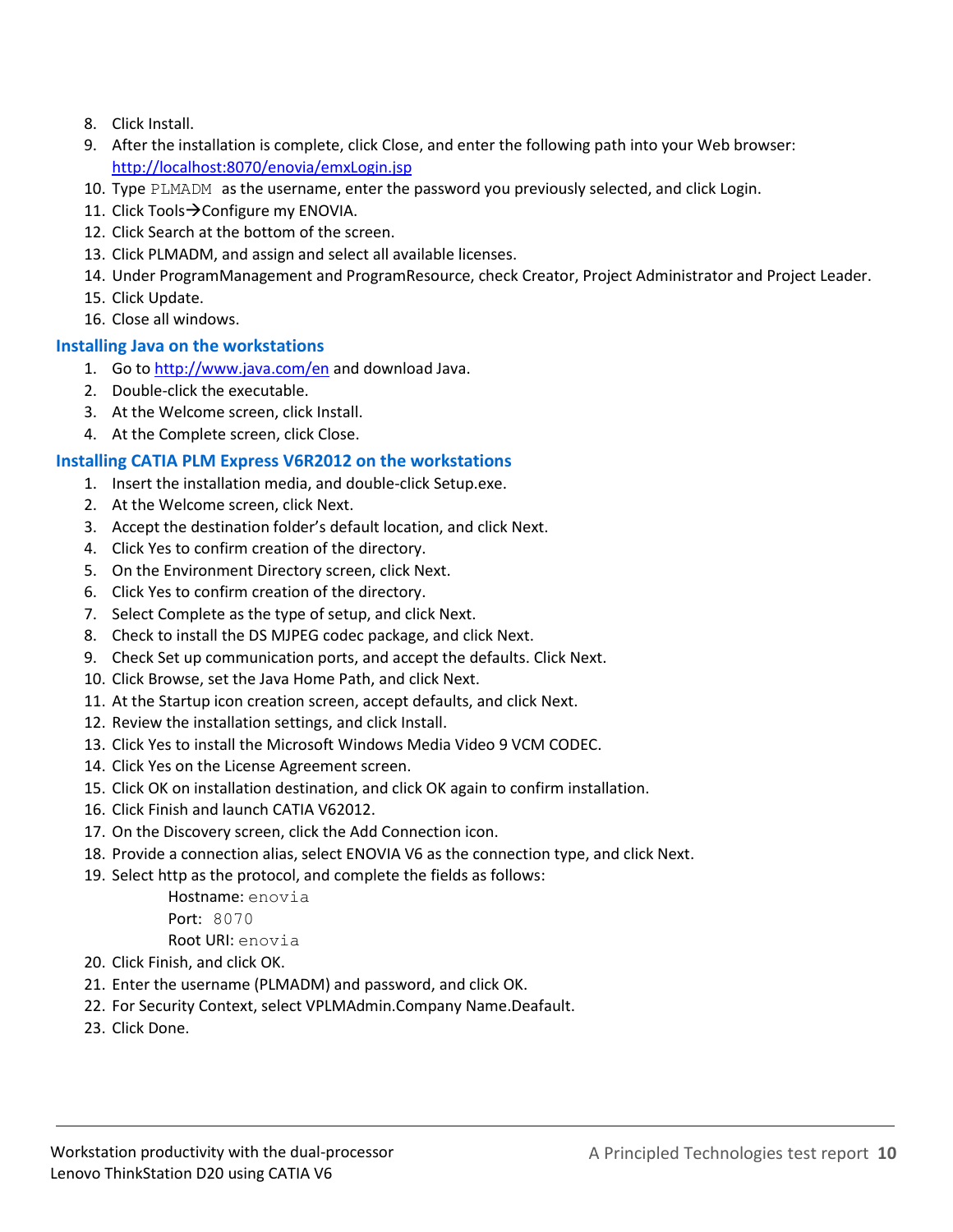- 8. Click Install.
- 9. After the installation is complete, click Close, and enter the following path into your Web browser: <http://localhost:8070/enovia/emxLogin.jsp>
- 10. Type PLMADM as the username, enter the password you previously selected, and click Login.
- 11. Click Tools $\rightarrow$ Configure my ENOVIA.
- 12. Click Search at the bottom of the screen.
- 13. Click PLMADM, and assign and select all available licenses.
- 14. Under ProgramManagement and ProgramResource, check Creator, Project Administrator and Project Leader.
- 15. Click Update.
- 16. Close all windows.

## **Installing Java on the workstations**

- 1. Go to<http://www.java.com/en> and download Java.
- 2. Double-click the executable.
- 3. At the Welcome screen, click Install.
- 4. At the Complete screen, click Close.

## **Installing CATIA PLM Express V6R2012 on the workstations**

- 1. Insert the installation media, and double-click Setup.exe.
- 2. At the Welcome screen, click Next.
- 3. Accept the destination folder's default location, and click Next.
- 4. Click Yes to confirm creation of the directory.
- 5. On the Environment Directory screen, click Next.
- 6. Click Yes to confirm creation of the directory.
- 7. Select Complete as the type of setup, and click Next.
- 8. Check to install the DS MJPEG codec package, and click Next.
- 9. Check Set up communication ports, and accept the defaults. Click Next.
- 10. Click Browse, set the Java Home Path, and click Next.
- 11. At the Startup icon creation screen, accept defaults, and click Next.
- 12. Review the installation settings, and click Install.
- 13. Click Yes to install the Microsoft Windows Media Video 9 VCM CODEC.
- 14. Click Yes on the License Agreement screen.
- 15. Click OK on installation destination, and click OK again to confirm installation.
- 16. Click Finish and launch CATIA V62012.
- 17. On the Discovery screen, click the Add Connection icon.
- 18. Provide a connection alias, select ENOVIA V6 as the connection type, and click Next.
- 19. Select http as the protocol, and complete the fields as follows:

Hostname: enovia Port: 8070 Root URI: enovia

- 20. Click Finish, and click OK.
- 21. Enter the username (PLMADM) and password, and click OK.
- 22. For Security Context, select VPLMAdmin.Company Name.Deafault.
- 23. Click Done.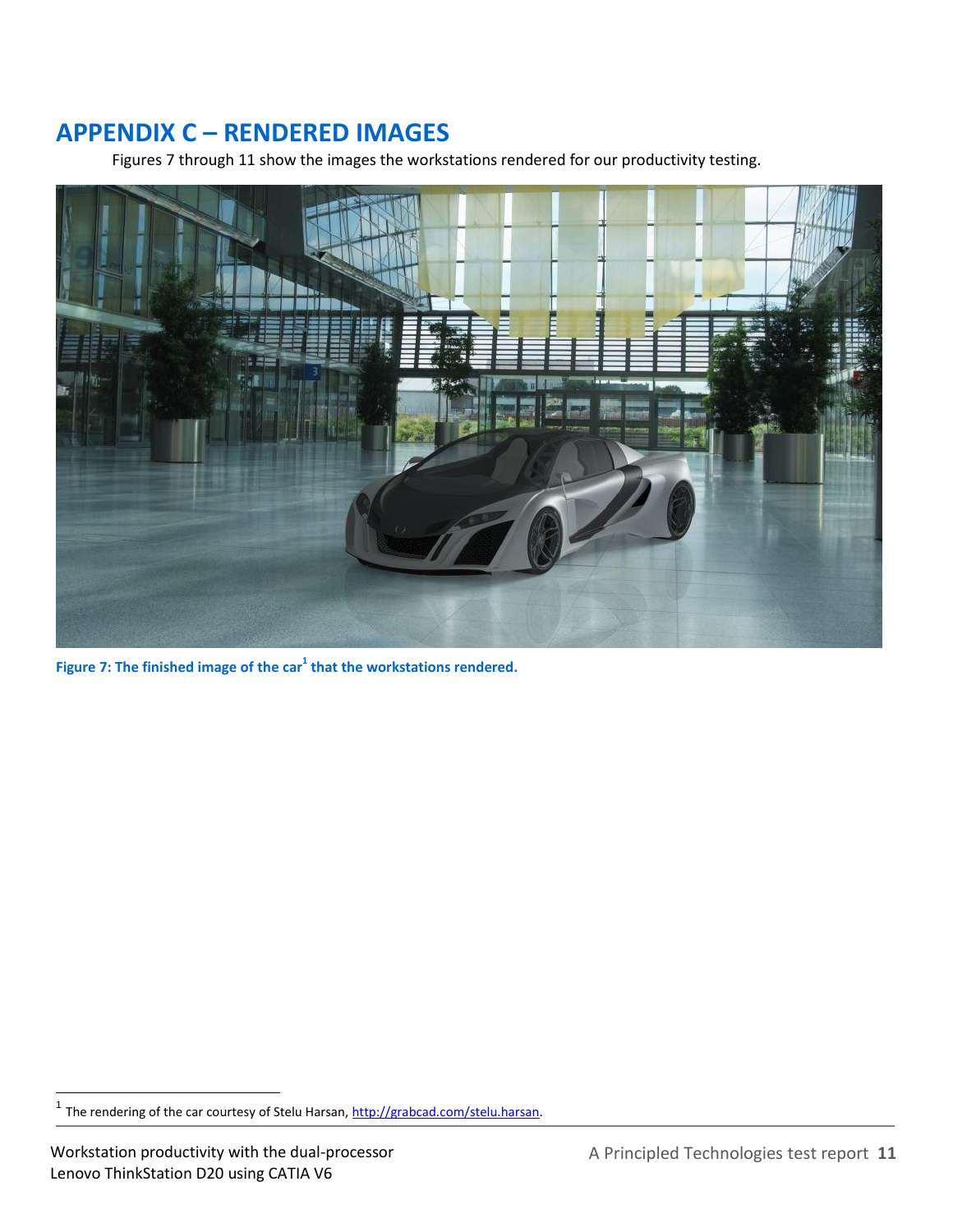# **APPENDIX C – RENDERED IMAGES**

<span id="page-10-0"></span>Figures 7 through 11 show the images the workstations rendered for our productivity testing.



**Figure 7: The finished image of the car<sup>1</sup> that the workstations rendered.**

<sup>1&</sup>lt;br>The rendering of the car courtesy of Stelu Harsan, <u>http://grabcad.com/stelu.harsan</u>.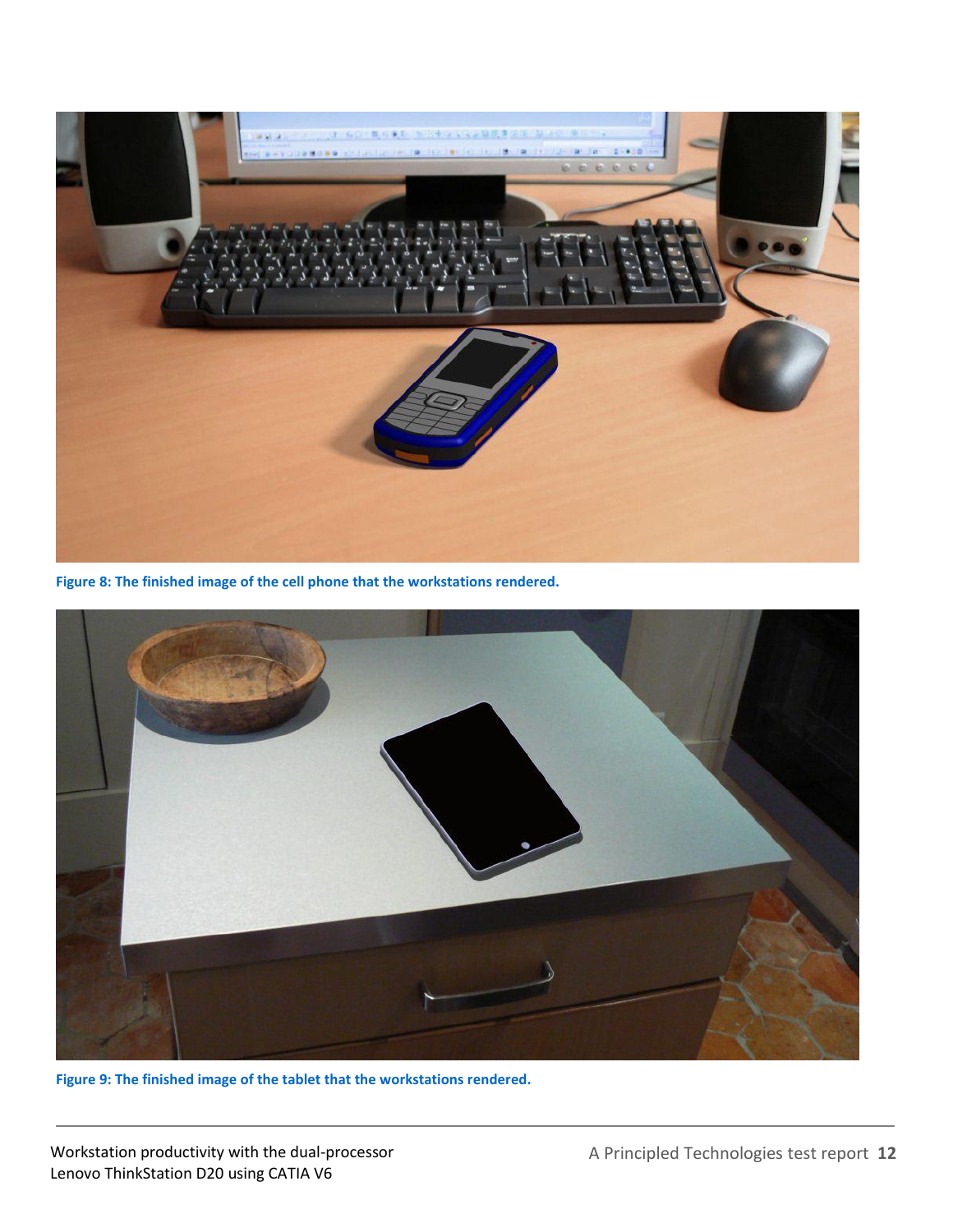

**Figure 8: The finished image of the cell phone that the workstations rendered.**



**Figure 9: The finished image of the tablet that the workstations rendered.**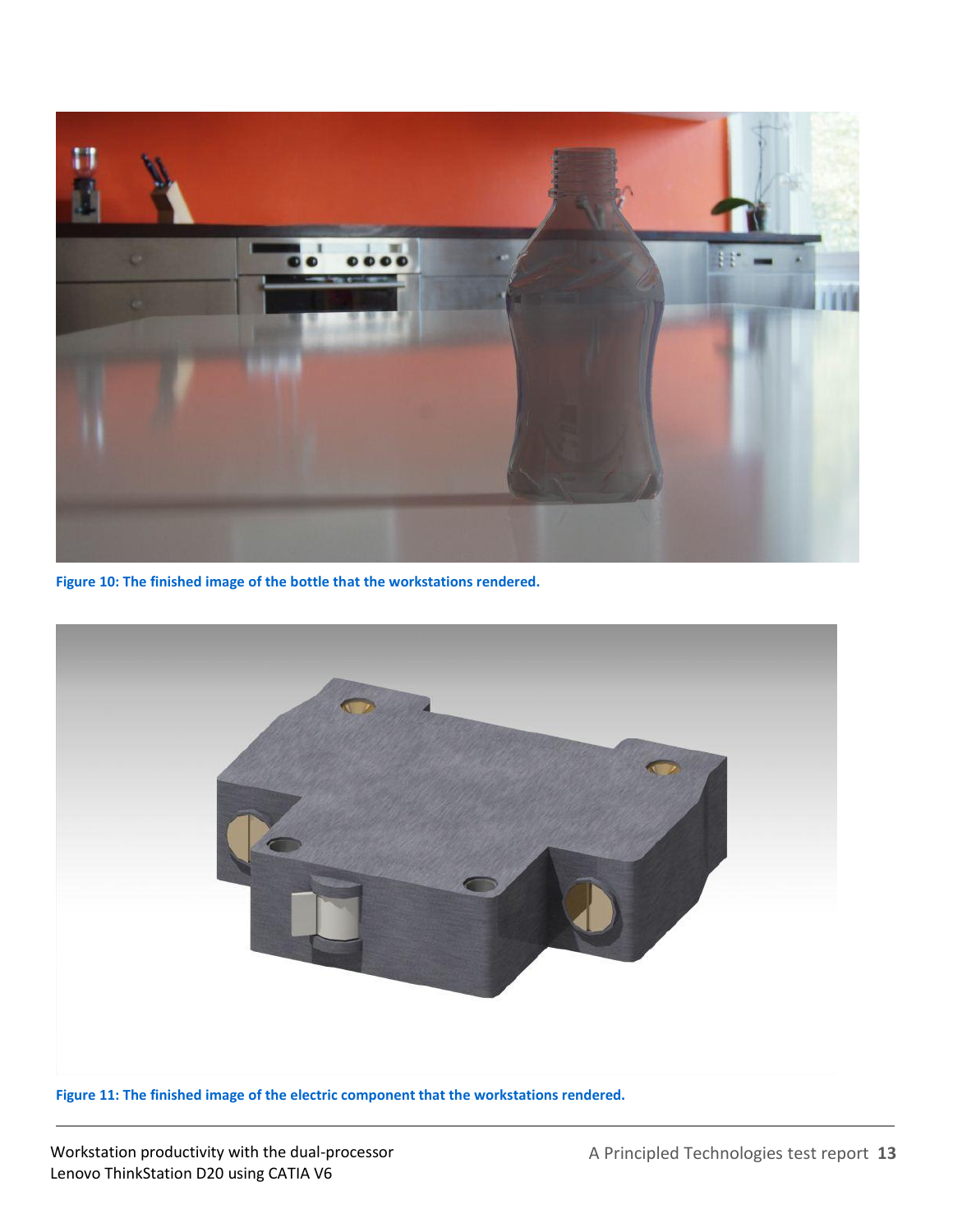

**Figure 10: The finished image of the bottle that the workstations rendered.**



**Figure 11: The finished image of the electric component that the workstations rendered.**